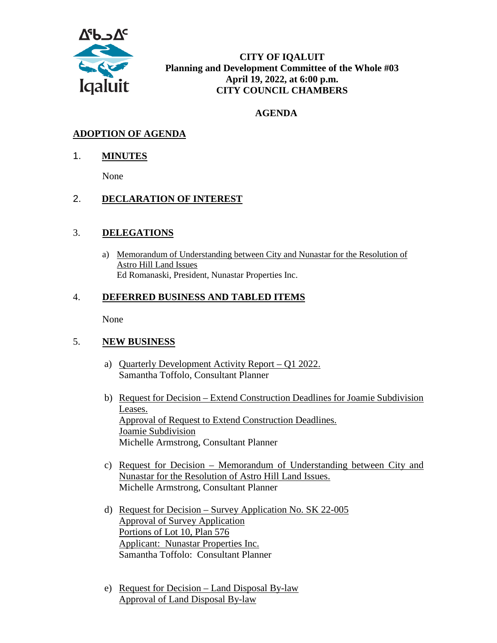

**CITY OF IQALUIT Planning and Development Committee of the Whole #03 April 19, 2022, at 6:00 p.m. CITY COUNCIL CHAMBERS**

## **AGENDA**

# **ADOPTION OF AGENDA**

### 1. **MINUTES**

None

### 2. **DECLARATION OF INTEREST**

### 3. **DELEGATIONS**

a) Memorandum of Understanding between City and Nunastar for the Resolution of Astro Hill Land Issues Ed Romanaski, President, Nunastar Properties Inc.

### 4. **DEFERRED BUSINESS AND TABLED ITEMS**

None

### 5. **NEW BUSINESS**

- a) Quarterly Development Activity Report Q1 2022. Samantha Toffolo, Consultant Planner
- b) Request for Decision Extend Construction Deadlines for Joamie Subdivision Leases. Approval of Request to Extend Construction Deadlines. Joamie Subdivision Michelle Armstrong, Consultant Planner
- c) Request for Decision Memorandum of Understanding between City and Nunastar for the Resolution of Astro Hill Land Issues. Michelle Armstrong, Consultant Planner
- d) Request for Decision Survey Application No. SK 22-005 Approval of Survey Application Portions of Lot 10, Plan 576 Applicant: Nunastar Properties Inc. Samantha Toffolo: Consultant Planner
- e) Request for Decision Land Disposal By-law Approval of Land Disposal By-law